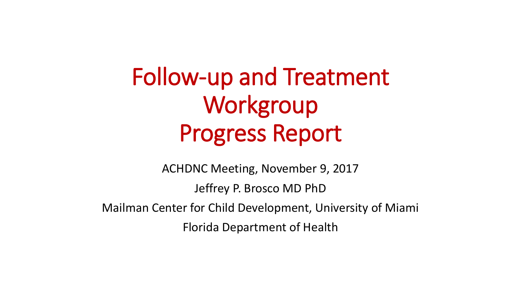Follow-up and Treatment **Workgroup** Progress Report

ACHDNC Meeting, November 9, 2017 Jeffrey P. Brosco MD PhD Mailman Center for Child Development, University of Miami Florida Department of Health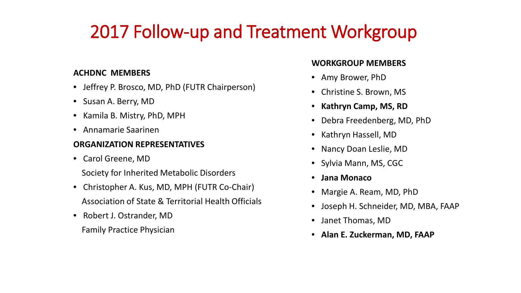## 2017 Follow-up and Treatment Workgroup

#### **ACHDNC MEMBERS**

- • Jeffrey P. Brosco, MD, PhD (FUTR Chairperson)
- Susan A. Berry, MD
- • Kamila B. Mistry, PhD, MPH
- • Annamarie Saarinen

#### **ORGANIZATION REPRESENTATIVES**

- Carol Greene, MD
	- Society for Inherited Metabolic Disorders
- Christopher A. Kus, MD, MPH (FUTR Co-Chair) Association of State & Territorial Health Officials
- Robert J. Ostrander, MD Family Practice Physician

#### **WORKGROUP MEMBERS**

- Amy Brower, PhD
- Christine S. Brown, MS
- • **Kathryn Camp, MS, RD**
- Debra Freedenberg, MD, PhD
- Kathryn Hassell, MD
- Nancy Doan Leslie, MD
- Sylvia Mann, MS, CGC
- **Jana Monaco**
- • Margie A. Ream, MD, PhD
- Joseph H. Schneider, MD, MBA, FAAP
- Janet Thomas, MD
- • **Alan E. Zuckerman, MD, FAAP**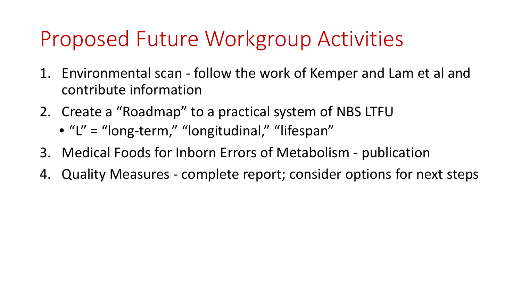# Proposed Future Workgroup Activities

- 1. Environmental scan follow the work of Kemper and Lam et al and contribute information
- 2. Create a "Roadmap" to a practical system of NBS LTFU
	- "L" = "long-term," "longitudinal," "lifespan"
- 3. Medical Foods for Inborn Errors of Metabolism publication
- 4. Quality Measures complete report; consider options for next steps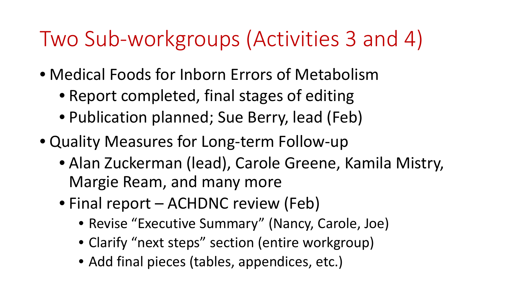# Two Sub-workgroups (Activities 3 and 4)

- Medical Foods for Inborn Errors of Metabolism
	- Report completed, final stages of editing
	- Publication planned; Sue Berry, lead (Feb)
- Quality Measures for Long-term Follow-up
	- • Alan Zuckerman (lead), Carole Greene, Kamila Mistry, Margie Ream, and many more
	- Final report ACHDNC review (Feb)
		- Revise "Executive Summary" (Nancy, Carole, Joe)
		- Clarify "next steps" section (entire workgroup)
		- Add final pieces (tables, appendices, etc.)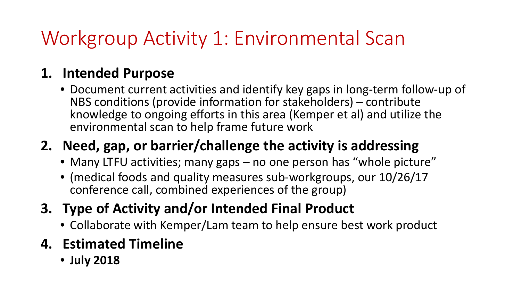## Workgroup Activity 1: Environmental Scan

#### **1. Intended Purpose**

 NBS conditions (provide information for stakeholders) – contribute • Document current activities and identify key gaps in long-term follow-up of knowledge to ongoing efforts in this area (Kemper et al) and utilize the environmental scan to help frame future work

### **2. Need, gap, or barrier/challenge the activity is addressing**

- Many LTFU activities; many gaps no one person has "whole picture"
- • (medical foods and quality measures sub-workgroups, our 10/26/17 conference call, combined experiences of the group)
- **3. Type of Activity and/or Intended Final Product** 
	- Collaborate with Kemper/Lam team to help ensure best work product
- **4. Estimated Timeline** 
	- **July 2018**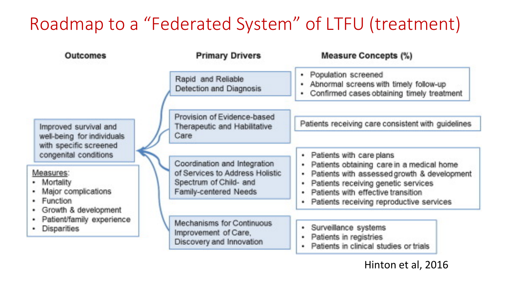### Roadmap to a "Federated System" of LTFU (treatment)

| Outcomes                                                                                                                                                                                                                                           | <b>Primary Drivers</b>                                                                                             | <b>Measure Concepts (%)</b>                                                                                                                                                                                                                         |
|----------------------------------------------------------------------------------------------------------------------------------------------------------------------------------------------------------------------------------------------------|--------------------------------------------------------------------------------------------------------------------|-----------------------------------------------------------------------------------------------------------------------------------------------------------------------------------------------------------------------------------------------------|
| Improved survival and<br>well-being for individuals.<br>with specific screened<br>congenital conditions<br>Measures:<br>• Mortality<br>Major complications<br>· Function<br>· Growth & development<br>· Patient/family experience<br>· Disparities | Rapid and Reliable<br>Detection and Diagnosis                                                                      | Population screened<br>۰.<br>- Abnormal screens with timely follow-up<br>Confirmed cases obtaining timely treatment<br>٠.                                                                                                                           |
|                                                                                                                                                                                                                                                    | Provision of Evidence-based<br>Therapeutic and Habilitative<br>Care                                                | Patients receiving care consistent with guidelines                                                                                                                                                                                                  |
|                                                                                                                                                                                                                                                    | Coordination and Integration<br>of Services to Address Holistic<br>Spectrum of Child- and<br>Family-centered Needs | Patients with care plans<br>Patients obtaining care in a medical home<br>Patients with assessed growth & development<br>Patients receiving genetic services<br>ă.<br>Patients with effective transition<br>Patients receiving reproductive services |
|                                                                                                                                                                                                                                                    | Mechanisms for Continuous<br>Improvement of Care,<br>Discovery and Innovation                                      | Surveillance systems<br>÷.<br>Patients in registries<br>Patients in clinical studies or trials                                                                                                                                                      |

Hinton et al, 2016